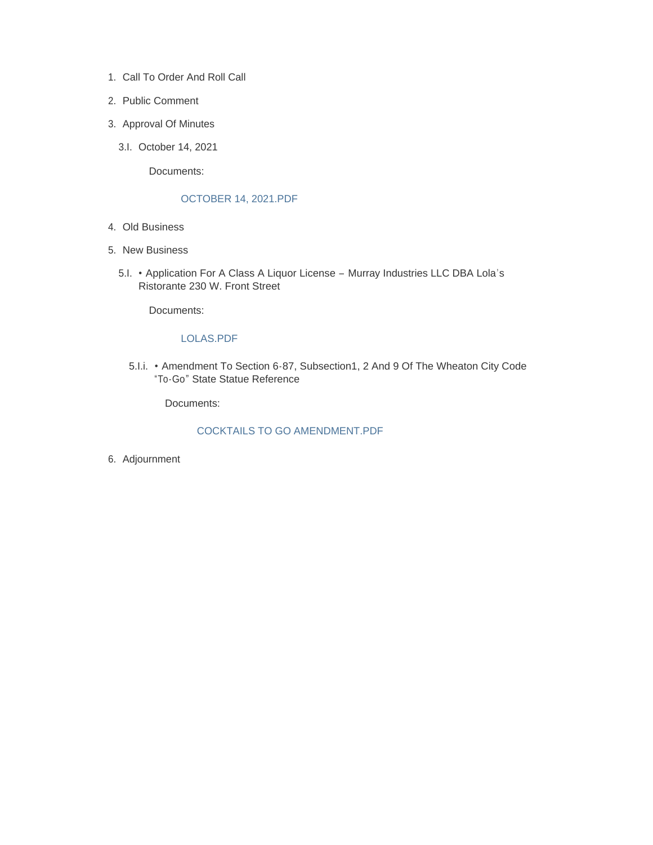- 1. Call To Order And Roll Call
- 2. Public Comment
- 3. Approval Of Minutes
	- 3.I. October 14, 2021

Documents:

### OCTOBER 14, 2021.PDF

- Old Business 4.
- 5. New Business
	- Application For A Class A Liquor License Murray Industries LLC DBA Lola's 5.I. Ristorante 230 W. Front Street

Documents:

#### LOLAS.PDF

5. I.i. • Amendment To Section 6-87, Subsection 1, 2 And 9 Of The Wheaton City Code "To-Go" State Statue Reference

Documents:

#### COCKTAILS TO GO AMENDMENT.PDF

6. Adjournment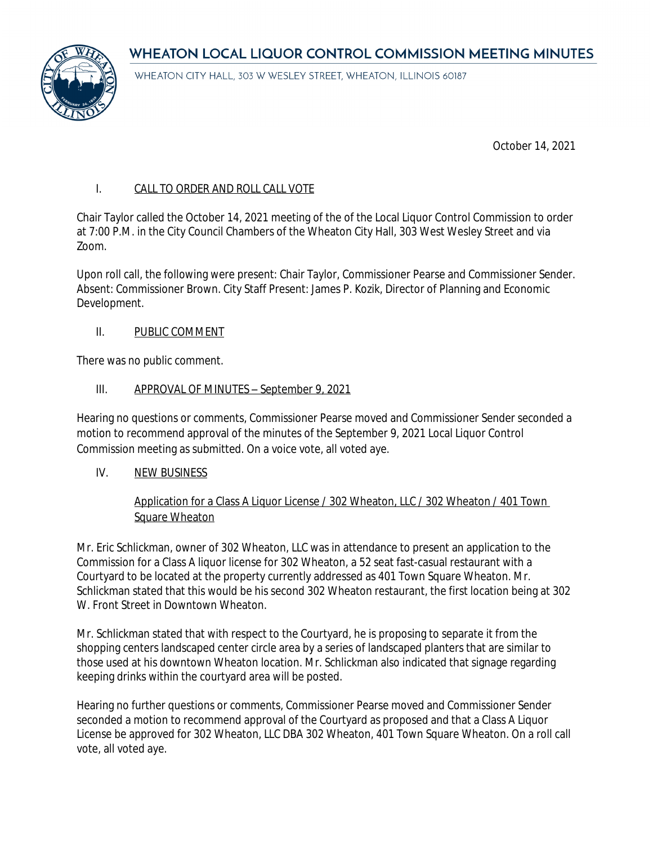WHEATON LOCAL LIQUOR CONTROL COMMISSION MEETING MINUTES



WHEATON CITY HALL, 303 W WESLEY STREET, WHEATON, ILLINOIS 60187

October 14, 2021

## I. CALL TO ORDER AND ROLL CALL VOTE

Chair Taylor called the October 14, 2021 meeting of the of the Local Liquor Control Commission to order at 7:00 P.M. in the City Council Chambers of the Wheaton City Hall, 303 West Wesley Street and via Zoom.

Upon roll call, the following were present: Chair Taylor, Commissioner Pearse and Commissioner Sender. Absent: Commissioner Brown. City Staff Present: James P. Kozik, Director of Planning and Economic Development.

## II. PUBLIC COMMENT

There was no public comment.

## III. APPROVAL OF MINUTES – September 9, 2021

Hearing no questions or comments, Commissioner Pearse moved and Commissioner Sender seconded a motion to recommend approval of the minutes of the September 9, 2021 Local Liquor Control Commission meeting as submitted. On a voice vote, all voted aye.

IV. NEW BUSINESS

## Application for a Class A Liquor License / 302 Wheaton, LLC / 302 Wheaton / 401 Town Square Wheaton

Mr. Eric Schlickman, owner of 302 Wheaton, LLC was in attendance to present an application to the Commission for a Class A liquor license for 302 Wheaton, a 52 seat fast-casual restaurant with a Courtyard to be located at the property currently addressed as 401 Town Square Wheaton. Mr. Schlickman stated that this would be his second 302 Wheaton restaurant, the first location being at 302 W. Front Street in Downtown Wheaton.

Mr. Schlickman stated that with respect to the Courtyard, he is proposing to separate it from the shopping centers landscaped center circle area by a series of landscaped planters that are similar to those used at his downtown Wheaton location. Mr. Schlickman also indicated that signage regarding keeping drinks within the courtyard area will be posted.

Hearing no further questions or comments, Commissioner Pearse moved and Commissioner Sender seconded a motion to recommend approval of the Courtyard as proposed and that a Class A Liquor License be approved for 302 Wheaton, LLC DBA 302 Wheaton, 401 Town Square Wheaton. On a roll call vote, all voted aye.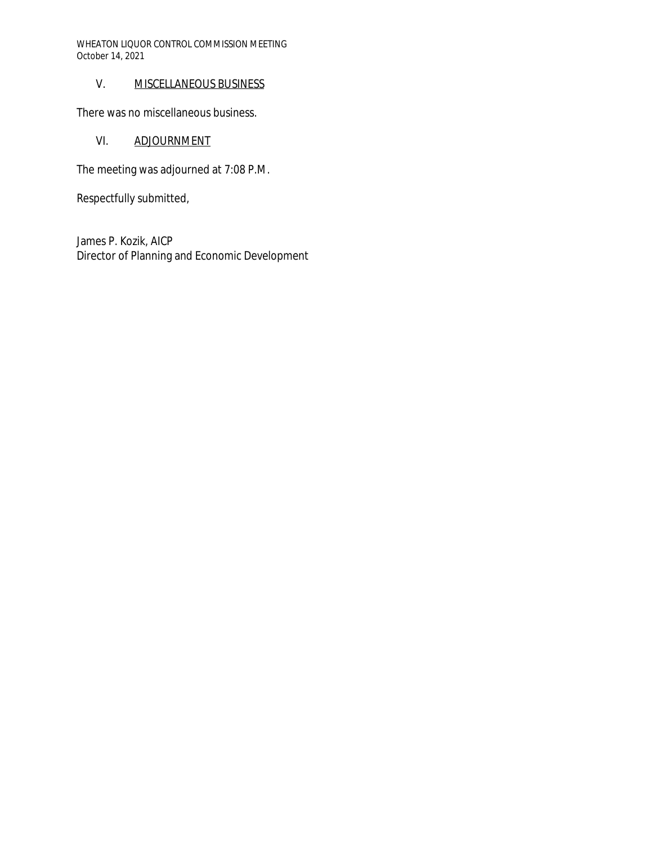WHEATON LIQUOR CONTROL COMMISSION MEETING October 14, 2021

## V. MISCELLANEOUS BUSINESS

There was no miscellaneous business.

## VI. ADJOURNMENT

The meeting was adjourned at 7:08 P.M.

Respectfully submitted,

James P. Kozik, AICP Director of Planning and Economic Development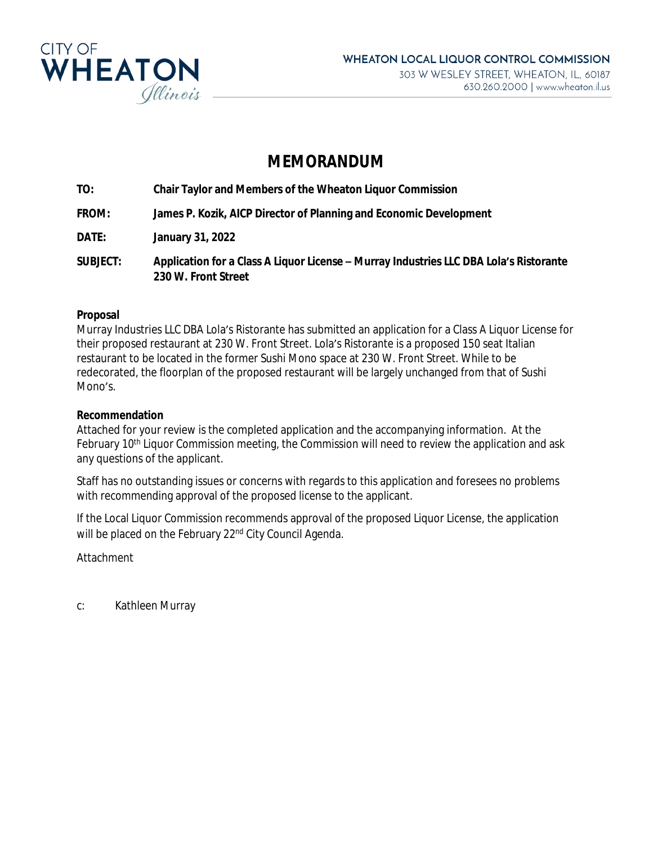

# **MEMORANDUM**

**TO: Chair Taylor and Members of the Wheaton Liquor Commission**

**FROM: James P. Kozik, AICP Director of Planning and Economic Development**

**DATE: January 31, 2022**

**SUBJECT: Application for a Class A Liquor License – Murray Industries LLC DBA Lola's Ristorante 230 W. Front Street**

## **Proposal**

Murray Industries LLC DBA Lola's Ristorante has submitted an application for a Class A Liquor License for their proposed restaurant at 230 W. Front Street. Lola's Ristorante is a proposed 150 seat Italian restaurant to be located in the former Sushi Mono space at 230 W. Front Street. While to be redecorated, the floorplan of the proposed restaurant will be largely unchanged from that of Sushi Mono's

## **Recommendation**

Attached for your review is the completed application and the accompanying information. At the February 10th Liquor Commission meeting, the Commission will need to review the application and ask any questions of the applicant.

Staff has no outstanding issues or concerns with regards to this application and foresees no problems with recommending approval of the proposed license to the applicant.

If the Local Liquor Commission recommends approval of the proposed Liquor License, the application will be placed on the February 22<sup>nd</sup> City Council Agenda.

Attachment

c: Kathleen Murray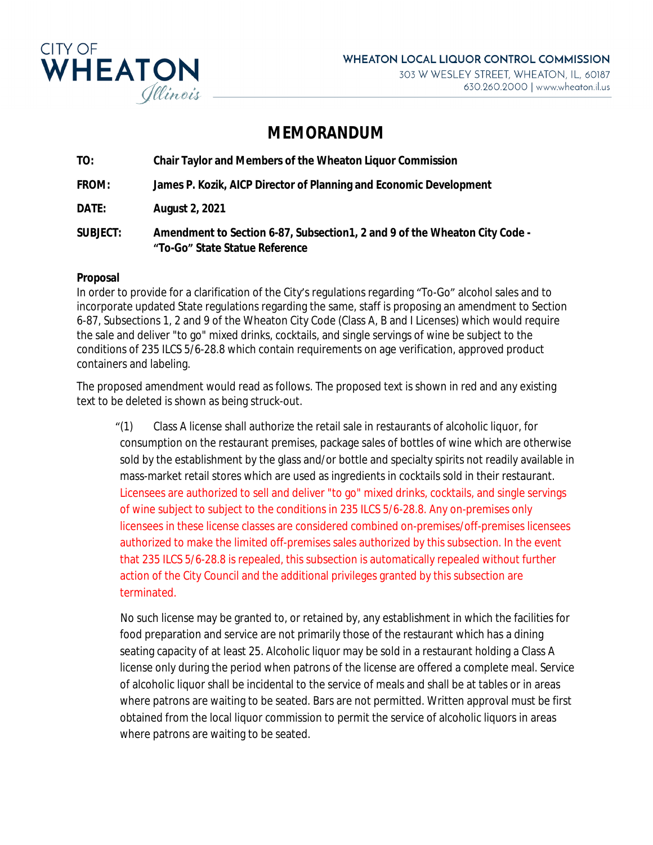

## **MEMORANDUM**

**TO: Chair Taylor and Members of the Wheaton Liquor Commission FROM: James P. Kozik, AICP Director of Planning and Economic Development DATE: August 2, 2021 SUBJECT: Amendment to Section 6-87, Subsection1, 2 and 9 of the Wheaton City Code - "To-Go" State Statue Reference**

### **Proposal**

In order to provide for a clarification of the City's regulations regarding "To-Go" alcohol sales and to incorporate updated State regulations regarding the same, staff is proposing an amendment to Section 6-87, Subsections 1, 2 and 9 of the Wheaton City Code (Class A, B and I Licenses) which would require the sale and deliver "to go" mixed drinks, cocktails, and single servings of wine be subject to the conditions of 235 ILCS 5/6-28.8 which contain requirements on age verification, approved product containers and labeling.

The proposed amendment would read as follows. The proposed text is shown in red and any existing text to be deleted is shown as being struck-out.

"(1) Class A license shall authorize the retail sale in restaurants of alcoholic liquor, for consumption on the restaurant premises, package sales of bottles of wine which are otherwise sold by the establishment by the glass and/or bottle and specialty spirits not readily available in mass-market retail stores which are used as ingredients in cocktails sold in their restaurant. Licensees are authorized to sell and deliver "to go" mixed drinks, cocktails, and single servings of wine subject to subject to the conditions in 235 ILCS 5/6-28.8. Any on-premises only licensees in these license classes are considered combined on-premises/off-premises licensees authorized to make the limited off-premises sales authorized by this subsection. In the event that 235 ILCS 5/6-28.8 is repealed, this subsection is automatically repealed without further action of the City Council and the additional privileges granted by this subsection are terminated.

 No such license may be granted to, or retained by, any establishment in which the facilities for food preparation and service are not primarily those of the restaurant which has a dining seating capacity of at least 25. Alcoholic liquor may be sold in a restaurant holding a Class A license only during the period when patrons of the license are offered a complete meal. Service of alcoholic liquor shall be incidental to the service of meals and shall be at tables or in areas where patrons are waiting to be seated. Bars are not permitted. Written approval must be first obtained from the local liquor commission to permit the service of alcoholic liquors in areas where patrons are waiting to be seated.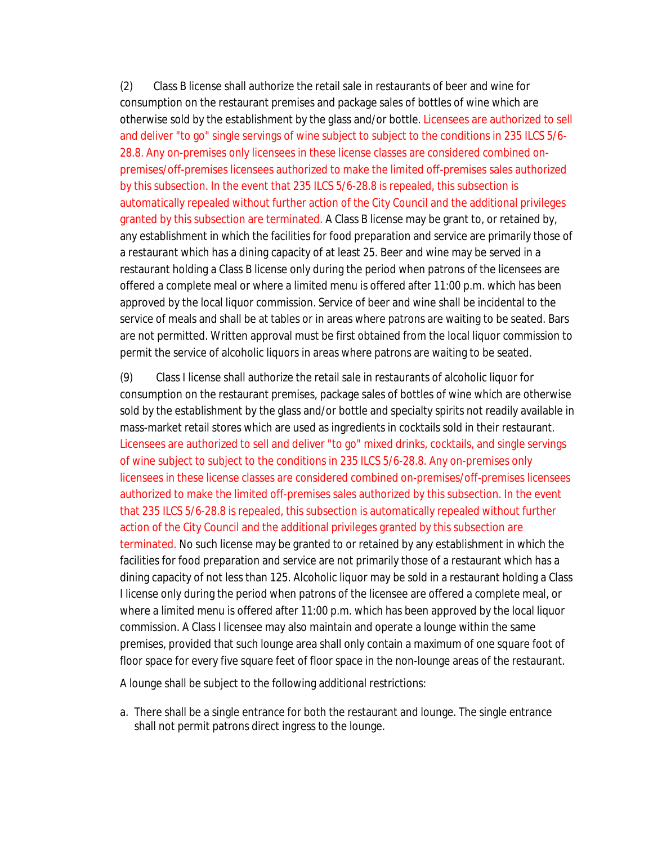(2) Class B license shall authorize the retail sale in restaurants of beer and wine for consumption on the restaurant premises and package sales of bottles of wine which are otherwise sold by the establishment by the glass and/or bottle. Licensees are authorized to sell and deliver "to go" single servings of wine subject to subject to the conditions in 235 ILCS 5/6- 28.8. Any on-premises only licensees in these license classes are considered combined onpremises/off-premises licensees authorized to make the limited off-premises sales authorized by this subsection. In the event that 235 ILCS 5/6-28.8 is repealed, this subsection is automatically repealed without further action of the City Council and the additional privileges granted by this subsection are terminated. A Class B license may be grant to, or retained by, any establishment in which the facilities for food preparation and service are primarily those of a restaurant which has a dining capacity of at least 25. Beer and wine may be served in a restaurant holding a Class B license only during the period when patrons of the licensees are offered a complete meal or where a limited menu is offered after 11:00 p.m. which has been approved by the local liquor commission. Service of beer and wine shall be incidental to the service of meals and shall be at tables or in areas where patrons are waiting to be seated. Bars are not permitted. Written approval must be first obtained from the local liquor commission to permit the service of alcoholic liquors in areas where patrons are waiting to be seated.

(9) Class I license shall authorize the retail sale in restaurants of alcoholic liquor for consumption on the restaurant premises, package sales of bottles of wine which are otherwise sold by the establishment by the glass and/or bottle and specialty spirits not readily available in mass-market retail stores which are used as ingredients in cocktails sold in their restaurant*.* Licensees are authorized to sell and deliver "to go" mixed drinks, cocktails, and single servings of wine subject to subject to the conditions in 235 ILCS 5/6-28.8. Any on-premises only licensees in these license classes are considered combined on-premises/off-premises licensees authorized to make the limited off-premises sales authorized by this subsection. In the event that 235 ILCS 5/6-28.8 is repealed, this subsection is automatically repealed without further action of the City Council and the additional privileges granted by this subsection are terminated. No such license may be granted to or retained by any establishment in which the facilities for food preparation and service are not primarily those of a restaurant which has a dining capacity of not less than 125. Alcoholic liquor may be sold in a restaurant holding a Class I license only during the period when patrons of the licensee are offered a complete meal, or where a limited menu is offered after 11:00 p.m. which has been approved by the local liquor commission. A Class I licensee may also maintain and operate a lounge within the same premises, provided that such lounge area shall only contain a maximum of one square foot of floor space for every five square feet of floor space in the non-lounge areas of the restaurant.

A lounge shall be subject to the following additional restrictions:

a. There shall be a single entrance for both the restaurant and lounge. The single entrance shall not permit patrons direct ingress to the lounge.